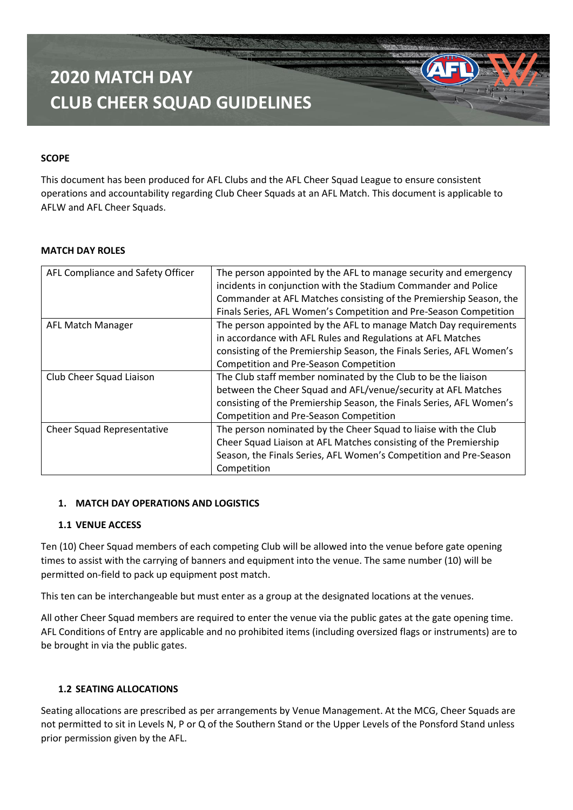#### **SCOPE**

This document has been produced for AFL Clubs and the AFL Cheer Squad League to ensure consistent operations and accountability regarding Club Cheer Squads at an AFL Match. This document is applicable to AFLW and AFL Cheer Squads.

#### **MATCH DAY ROLES**

| AFL Compliance and Safety Officer | The person appointed by the AFL to manage security and emergency<br>incidents in conjunction with the Stadium Commander and Police<br>Commander at AFL Matches consisting of the Premiership Season, the<br>Finals Series, AFL Women's Competition and Pre-Season Competition |
|-----------------------------------|-------------------------------------------------------------------------------------------------------------------------------------------------------------------------------------------------------------------------------------------------------------------------------|
|                                   |                                                                                                                                                                                                                                                                               |
| <b>AFL Match Manager</b>          | The person appointed by the AFL to manage Match Day requirements                                                                                                                                                                                                              |
|                                   | in accordance with AFL Rules and Regulations at AFL Matches                                                                                                                                                                                                                   |
|                                   | consisting of the Premiership Season, the Finals Series, AFL Women's                                                                                                                                                                                                          |
|                                   | Competition and Pre-Season Competition                                                                                                                                                                                                                                        |
| Club Cheer Squad Liaison          | The Club staff member nominated by the Club to be the liaison                                                                                                                                                                                                                 |
|                                   | between the Cheer Squad and AFL/venue/security at AFL Matches                                                                                                                                                                                                                 |
|                                   | consisting of the Premiership Season, the Finals Series, AFL Women's                                                                                                                                                                                                          |
|                                   | Competition and Pre-Season Competition                                                                                                                                                                                                                                        |
| Cheer Squad Representative        | The person nominated by the Cheer Squad to liaise with the Club                                                                                                                                                                                                               |
|                                   | Cheer Squad Liaison at AFL Matches consisting of the Premiership                                                                                                                                                                                                              |
|                                   | Season, the Finals Series, AFL Women's Competition and Pre-Season                                                                                                                                                                                                             |
|                                   | Competition                                                                                                                                                                                                                                                                   |

#### **1. MATCH DAY OPERATIONS AND LOGISTICS**

#### **1.1 VENUE ACCESS**

Ten (10) Cheer Squad members of each competing Club will be allowed into the venue before gate opening times to assist with the carrying of banners and equipment into the venue. The same number (10) will be permitted on-field to pack up equipment post match.

This ten can be interchangeable but must enter as a group at the designated locations at the venues.

All other Cheer Squad members are required to enter the venue via the public gates at the gate opening time. AFL Conditions of Entry are applicable and no prohibited items (including oversized flags or instruments) are to be brought in via the public gates.

### **1.2 SEATING ALLOCATIONS**

Seating allocations are prescribed as per arrangements by Venue Management. At the MCG, Cheer Squads are not permitted to sit in Levels N, P or Q of the Southern Stand or the Upper Levels of the Ponsford Stand unless prior permission given by the AFL.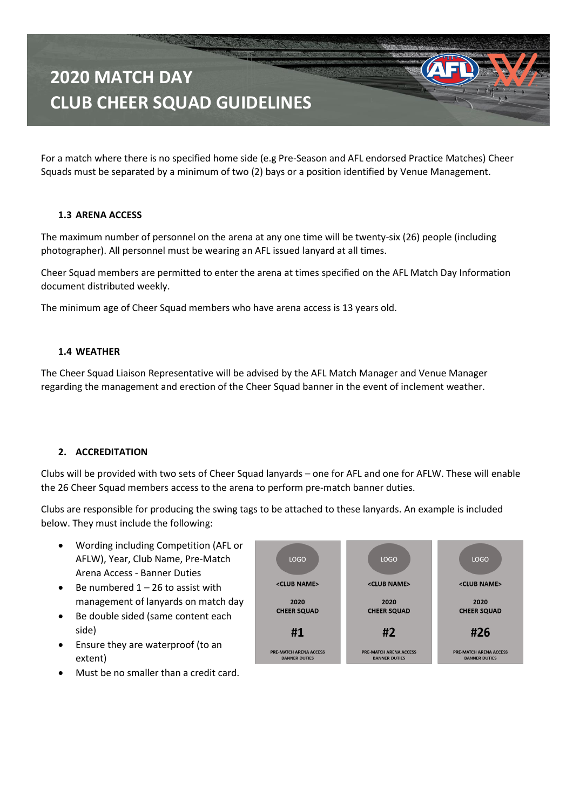For a match where there is no specified home side (e.g Pre-Season and AFL endorsed Practice Matches) Cheer Squads must be separated by a minimum of two (2) bays or a position identified by Venue Management.

#### **1.3 ARENA ACCESS**

The maximum number of personnel on the arena at any one time will be twenty-six (26) people (including photographer). All personnel must be wearing an AFL issued lanyard at all times.

Cheer Squad members are permitted to enter the arena at times specified on the AFL Match Day Information document distributed weekly.

The minimum age of Cheer Squad members who have arena access is 13 years old.

#### **1.4 WEATHER**

The Cheer Squad Liaison Representative will be advised by the AFL Match Manager and Venue Manager regarding the management and erection of the Cheer Squad banner in the event of inclement weather.

#### **2. ACCREDITATION**

Clubs will be provided with two sets of Cheer Squad lanyards – one for AFL and one for AFLW. These will enable the 26 Cheer Squad members access to the arena to perform pre-match banner duties.

Clubs are responsible for producing the swing tags to be attached to these lanyards. An example is included below. They must include the following:

- Wording including Competition (AFL or AFLW), Year, Club Name, Pre-Match Arena Access - Banner Duties
- Be numbered  $1 26$  to assist with management of lanyards on match day
- Be double sided (same content each side)
- Ensure they are waterproof (to an extent)
- Must be no smaller than a credit card.

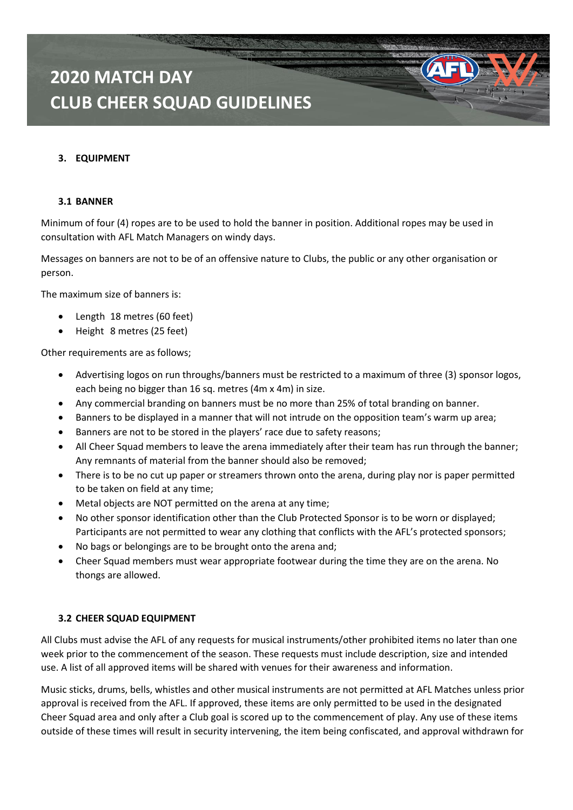#### **3. EQUIPMENT**

#### **3.1 BANNER**

Minimum of four (4) ropes are to be used to hold the banner in position. Additional ropes may be used in consultation with AFL Match Managers on windy days.

Messages on banners are not to be of an offensive nature to Clubs, the public or any other organisation or person.

The maximum size of banners is:

- Length 18 metres (60 feet)
- Height 8 metres (25 feet)

Other requirements are as follows;

- Advertising logos on run throughs/banners must be restricted to a maximum of three (3) sponsor logos, each being no bigger than 16 sq. metres (4m x 4m) in size.
- Any commercial branding on banners must be no more than 25% of total branding on banner.
- Banners to be displayed in a manner that will not intrude on the opposition team's warm up area;
- Banners are not to be stored in the players' race due to safety reasons;
- All Cheer Squad members to leave the arena immediately after their team has run through the banner; Any remnants of material from the banner should also be removed;
- There is to be no cut up paper or streamers thrown onto the arena, during play nor is paper permitted to be taken on field at any time;
- Metal objects are NOT permitted on the arena at any time;
- No other sponsor identification other than the Club Protected Sponsor is to be worn or displayed; Participants are not permitted to wear any clothing that conflicts with the AFL's protected sponsors;
- No bags or belongings are to be brought onto the arena and;
- Cheer Squad members must wear appropriate footwear during the time they are on the arena. No thongs are allowed.

#### **3.2 CHEER SQUAD EQUIPMENT**

All Clubs must advise the AFL of any requests for musical instruments/other prohibited items no later than one week prior to the commencement of the season. These requests must include description, size and intended use. A list of all approved items will be shared with venues for their awareness and information.

Music sticks, drums, bells, whistles and other musical instruments are not permitted at AFL Matches unless prior approval is received from the AFL. If approved, these items are only permitted to be used in the designated Cheer Squad area and only after a Club goal is scored up to the commencement of play. Any use of these items outside of these times will result in security intervening, the item being confiscated, and approval withdrawn for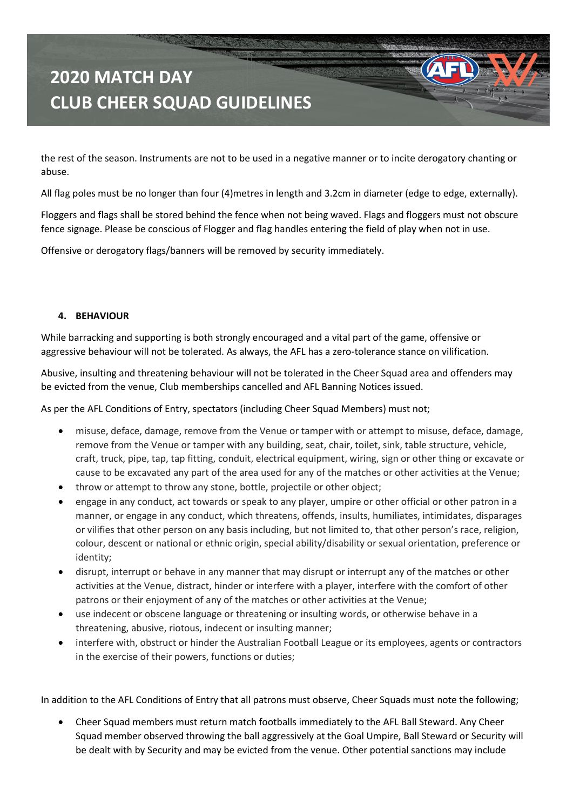the rest of the season. Instruments are not to be used in a negative manner or to incite derogatory chanting or abuse.

All flag poles must be no longer than four (4)metres in length and 3.2cm in diameter (edge to edge, externally).

Floggers and flags shall be stored behind the fence when not being waved. Flags and floggers must not obscure fence signage. Please be conscious of Flogger and flag handles entering the field of play when not in use.

Offensive or derogatory flags/banners will be removed by security immediately.

#### **4. BEHAVIOUR**

While barracking and supporting is both strongly encouraged and a vital part of the game, offensive or aggressive behaviour will not be tolerated. As always, the AFL has a zero-tolerance stance on vilification.

Abusive, insulting and threatening behaviour will not be tolerated in the Cheer Squad area and offenders may be evicted from the venue, Club memberships cancelled and AFL Banning Notices issued.

As per the AFL Conditions of Entry, spectators (including Cheer Squad Members) must not;

- misuse, deface, damage, remove from the Venue or tamper with or attempt to misuse, deface, damage, remove from the Venue or tamper with any building, seat, chair, toilet, sink, table structure, vehicle, craft, truck, pipe, tap, tap fitting, conduit, electrical equipment, wiring, sign or other thing or excavate or cause to be excavated any part of the area used for any of the matches or other activities at the Venue;
- throw or attempt to throw any stone, bottle, projectile or other object;
- engage in any conduct, act towards or speak to any player, umpire or other official or other patron in a manner, or engage in any conduct, which threatens, offends, insults, humiliates, intimidates, disparages or vilifies that other person on any basis including, but not limited to, that other person's race, religion, colour, descent or national or ethnic origin, special ability/disability or sexual orientation, preference or identity;
- disrupt, interrupt or behave in any manner that may disrupt or interrupt any of the matches or other activities at the Venue, distract, hinder or interfere with a player, interfere with the comfort of other patrons or their enjoyment of any of the matches or other activities at the Venue;
- use indecent or obscene language or threatening or insulting words, or otherwise behave in a threatening, abusive, riotous, indecent or insulting manner;
- interfere with, obstruct or hinder the Australian Football League or its employees, agents or contractors in the exercise of their powers, functions or duties;

In addition to the AFL Conditions of Entry that all patrons must observe, Cheer Squads must note the following;

• Cheer Squad members must return match footballs immediately to the AFL Ball Steward. Any Cheer Squad member observed throwing the ball aggressively at the Goal Umpire, Ball Steward or Security will be dealt with by Security and may be evicted from the venue. Other potential sanctions may include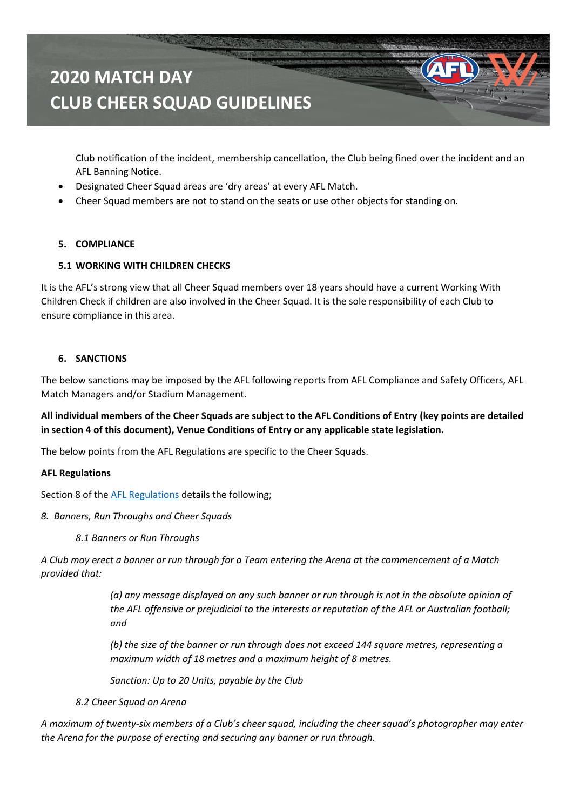Club notification of the incident, membership cancellation, the Club being fined over the incident and an AFL Banning Notice.

- Designated Cheer Squad areas are 'dry areas' at every AFL Match.
- Cheer Squad members are not to stand on the seats or use other objects for standing on.

### **5. COMPLIANCE**

### **5.1 WORKING WITH CHILDREN CHECKS**

It is the AFL's strong view that all Cheer Squad members over 18 years should have a current Working With Children Check if children are also involved in the Cheer Squad. It is the sole responsibility of each Club to ensure compliance in this area.

#### **6. SANCTIONS**

The below sanctions may be imposed by the AFL following reports from AFL Compliance and Safety Officers, AFL Match Managers and/or Stadium Management.

**All individual members of the Cheer Squads are subject to the AFL Conditions of Entry (key points are detailed in section 4 of this document), Venue Conditions of Entry or any applicable state legislation.**

The below points from the AFL Regulations are specific to the Cheer Squads.

#### **AFL Regulations**

Section 8 of the [AFL Regulations](https://resources.afl.com.au/afl/document/2019/12/04/07dfcef0-a956-4825-a2ea-a1c79f91fd52/AFL-Regulations-4-September-2019.pdf) details the following;

- *8. Banners, Run Throughs and Cheer Squads*
	- *8.1 Banners or Run Throughs*

*A Club may erect a banner or run through for a Team entering the Arena at the commencement of a Match provided that:* 

> *(a) any message displayed on any such banner or run through is not in the absolute opinion of the AFL offensive or prejudicial to the interests or reputation of the AFL or Australian football; and*

*(b) the size of the banner or run through does not exceed 144 square metres, representing a maximum width of 18 metres and a maximum height of 8 metres.* 

*Sanction: Up to 20 Units, payable by the Club*

*8.2 Cheer Squad on Arena* 

*A maximum of twenty-six members of a Club's cheer squad, including the cheer squad's photographer may enter the Arena for the purpose of erecting and securing any banner or run through.*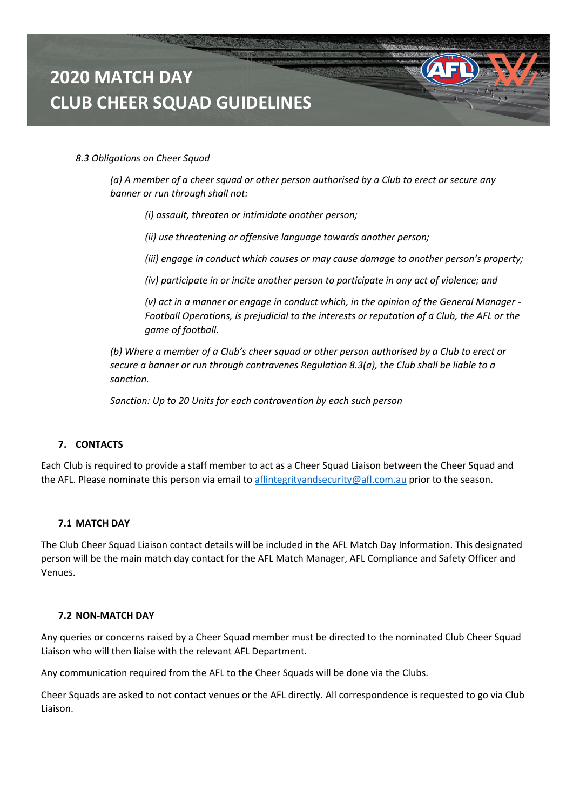#### *8.3 Obligations on Cheer Squad*

*(a) A member of a cheer squad or other person authorised by a Club to erect or secure any banner or run through shall not:* 

*(i) assault, threaten or intimidate another person;* 

*(ii) use threatening or offensive language towards another person;* 

*(iii) engage in conduct which causes or may cause damage to another person's property;* 

*(iv) participate in or incite another person to participate in any act of violence; and* 

*(v) act in a manner or engage in conduct which, in the opinion of the General Manager - Football Operations, is prejudicial to the interests or reputation of a Club, the AFL or the game of football.* 

*(b) Where a member of a Club's cheer squad or other person authorised by a Club to erect or secure a banner or run through contravenes Regulation 8.3(a), the Club shall be liable to a sanction.* 

*Sanction: Up to 20 Units for each contravention by each such person*

#### **7. CONTACTS**

Each Club is required to provide a staff member to act as a Cheer Squad Liaison between the Cheer Squad and the AFL. Please nominate this person via email t[o aflintegrityandsecurity@afl.com.au](mailto:aflintegrityandsecurity@afl.com.au) prior to the season.

#### **7.1 MATCH DAY**

The Club Cheer Squad Liaison contact details will be included in the AFL Match Day Information. This designated person will be the main match day contact for the AFL Match Manager, AFL Compliance and Safety Officer and Venues.

#### **7.2 NON-MATCH DAY**

Any queries or concerns raised by a Cheer Squad member must be directed to the nominated Club Cheer Squad Liaison who will then liaise with the relevant AFL Department.

Any communication required from the AFL to the Cheer Squads will be done via the Clubs.

Cheer Squads are asked to not contact venues or the AFL directly. All correspondence is requested to go via Club Liaison.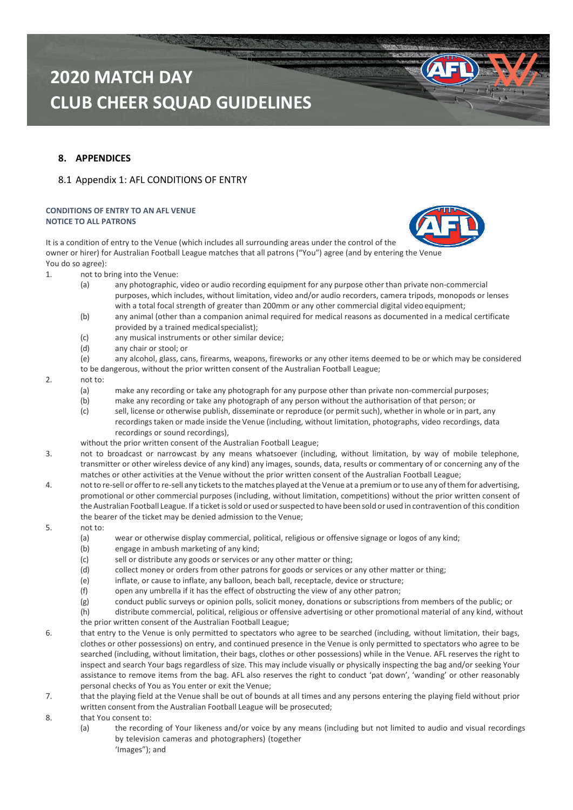### **8. APPENDICES**

#### 8.1 Appendix 1: AFL CONDITIONS OF ENTRY

#### **CONDITIONS OF ENTRY TO AN AFL VENUE NOTICE TO ALL PATRONS**

It is a condition of entry to the Venue (which includes all surrounding areas under the control of the owner or hirer) for Australian Football League matches that all patrons ("You") agree (and by entering the Venue You do so agree):

- 1. not to bring into the Venue:
	- (a) any photographic, video or audio recording equipment for any purpose other than private non-commercial purposes, which includes, without limitation, video and/or audio recorders, camera tripods, monopods or lenses with a total focal strength of greater than 200mm or any other commercial digital video equipment;
	- (b) any animal (other than a companion animal required for medical reasons as documented in a medical certificate provided by a trained medical specialist);
	- (c) any musical instruments or other similar device;
	- (d) any chair or stool; or

(e) any alcohol, glass, cans, firearms, weapons, fireworks or any other items deemed to be or which may be considered to be dangerous, without the prior written consent of the Australian Football League;

#### 2. not to:

- (a) make any recording or take any photograph for any purpose other than private non-commercial purposes;
- (b) make any recording or take any photograph of any person without the authorisation of that person; or
- (c) sell, license or otherwise publish, disseminate or reproduce (or permit such), whether in whole or in part, any recordingstaken or made inside the Venue (including, without limitation, photographs, video recordings, data recordings or sound recordings),
- without the prior written consent of the Australian Football League;
- 3. not to broadcast or narrowcast by any means whatsoever (including, without limitation, by way of mobile telephone, transmitter or other wireless device of any kind) any images, sounds, data, results or commentary of or concerning any of the matches or other activities at the Venue without the prior written consent of the Australian Football League;
- 4. notto re-sell or offerto re-sell any ticketsto thematches played atthe Venue at a premiumorto use any ofthem for advertising, promotional or other commercial purposes (including, without limitation, competitions) without the prior written consent of the Australian Football League. If a ticket is sold or used or suspected to have been sold or used in contravention of this condition the bearer of the ticket may be denied admission to the Venue;
- 5. not to:
	- (a) wear or otherwise display commercial, political, religious or offensive signage or logos of any kind;
	- (b) engage in ambush marketing of any kind;
	- (c) sell or distribute any goods or services or any other matter or thing;
	- (d) collect money or orders from other patrons for goods or services or any other matter or thing;
	- (e) inflate, or cause to inflate, any balloon, beach ball, receptacle, device or structure;
	- (f) open any umbrella if it has the effect of obstructing the view of any other patron;
	- (g) conduct public surveys or opinion polls, solicit money, donations or subscriptions from members of the public; or
	- (h) distribute commercial, political, religious or offensive advertising or other promotional material of any kind, without
	- the prior written consent of the Australian Football League;
- 6. that entry to the Venue is only permitted to spectators who agree to be searched (including, without limitation, their bags, clothes or other possessions) on entry, and continued presence in the Venue is only permitted to spectators who agree to be searched (including, without limitation, their bags, clothes or other possessions) while in the Venue. AFL reserves the right to inspect and search Your bags regardless of size. This may include visually or physically inspecting the bag and/or seeking Your assistance to remove items from the bag. AFL also reserves the right to conduct 'pat down', 'wanding' or other reasonably personal checks of You as You enter or exit the Venue;
- 7. that the playing field at the Venue shall be out of bounds at all times and any persons entering the playing field without prior written consent from the Australian Football League will be prosecuted;
- 8. that You consent to:
	- (a) the recording of Your likeness and/or voice by any means (including but not limited to audio and visual recordings by television cameras and photographers) (together 'Images"); and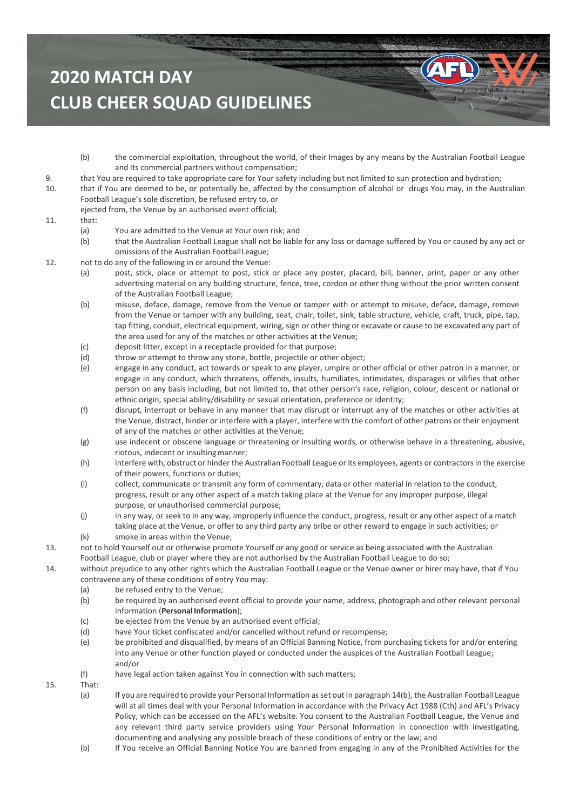- (b) the commercial exploitation, throughout the world, of their Images by any means by the Australian Football League and Its commercial partners without compensation;
- 9. that You are required to take appropriate care for Your safety including but not limited to sun protection and hydration;
- 10. that if You are deemed to be, or potentially be, affected by the consumption of alcohol or drugs You may, in the Australian Football League's sole discretion, be refused entry to, or

ejected from, the Venue by an authorised event official;

#### 11. that:

- (a) You are admitted to the Venue at Your own risk; and
- (b) that the Australian Football League shall not be liable for any loss or damage suffered by You or caused by any act or omissions of the Australian FootballLeague;
- 12. not to do any of the following in or around the Venue:
	- (a) post, stick, place or attempt to post, stick or place any poster, placard, bill, banner, print, paper or any other advertising material on any building structure, fence, tree, cordon or other thing without the prior written consent of the Australian Football League;
	- (b) misuse, deface, damage, remove from the Venue or tamper with or attempt to misuse, deface, damage, remove from the Venue or tamper with any building, seat, chair, toilet, sink, table structure, vehicle, craft, truck, pipe, tap, tap fitting, conduit, electrical equipment, wiring, sign or other thing or excavate or cause to be excavated any part of the area used for any of the matches or other activities at the Venue;
	- (c) deposit litter, except in a receptacle provided for that purpose;
	- (d) throw or attempt to throw any stone, bottle, projectile or other object;
	- (e) engage in any conduct, act towards or speak to any player, umpire or other official or other patron in a manner, or engage in any conduct, which threatens, offends, insults, humiliates, intimidates, disparages or vilifies that other person on any basis including, but not limited to, that other person's race, religion, colour, descent or national or ethnic origin, special ability/disability or sexual orientation, preference or identity;
	- (f) disrupt, interrupt or behave in any manner that may disrupt or interrupt any of the matches or other activities at the Venue, distract, hinder or interfere with a player, interfere with the comfort of other patrons or their enjoyment of any of the matches or other activities at the Venue;
	- (g) use indecent or obscene language or threatening or insulting words, or otherwise behave in a threatening, abusive, riotous, indecent or insulting manner;
	- (h) interfere with, obstruct or hinder the Australian Football League or its employees, agents or contractorsin the exercise of their powers, functions or duties;
	- (i) collect, communicate or transmit any form of commentary, data or other material in relation to the conduct, progress, result or any other aspect of a match taking place at the Venue for any improper purpose, illegal purpose, or unauthorised commercial purpose;
	- (j) in any way, or seek to in any way, improperly influence the conduct, progress, result or any other aspect of a match taking place at the Venue, or offer to any third party any bribe or other reward to engage in such activities; or
	- (k) smoke in areas within the Venue;
- 13. not to hold Yourself out or otherwise promote Yourself or any good or service as being associated with the Australian Football League, club or player where they are not authorised by the Australian Football League to do so;

<span id="page-7-0"></span>14. without prejudice to any other rights which the Australian Football League or the Venue owner or hirer may have, that if You contravene any of these conditions of entry You may:

- (a) be refused entry to the Venue;
- (b) be required by an authorised event official to provide your name, address, photograph and other relevant personal information (**PersonalInformation**);
- (c) be ejected from the Venue by an authorised event official;
- (d) have Your ticket confiscated and/or cancelled without refund or recompense;
- (e) be prohibited and disqualified, by means of an Official Banning Notice, from purchasing tickets for and/or entering into any Venue or other function played or conducted under the auspices of the Australian Football League; and/or
- (f) have legal action taken against You in connection with such matters;

#### 15. That:

- (a) If you are required to provide your Personal Information asset out in paragraph 1[4\(b\),](#page-7-0) the Australian Football League will at all times deal with your Personal Information in accordance with the Privacy Act 1988 (Cth) and AFL's Privacy Policy, which can be accessed on the AFL's website. You consent to the Australian Football League, the Venue and any relevant third party service providers using Your Personal Information in connection with investigating, documenting and analysing any possible breach of these conditions of entry or the law; and
- (b) If You receive an Official Banning Notice You are banned from engaging in any of the Prohibited Activities for the